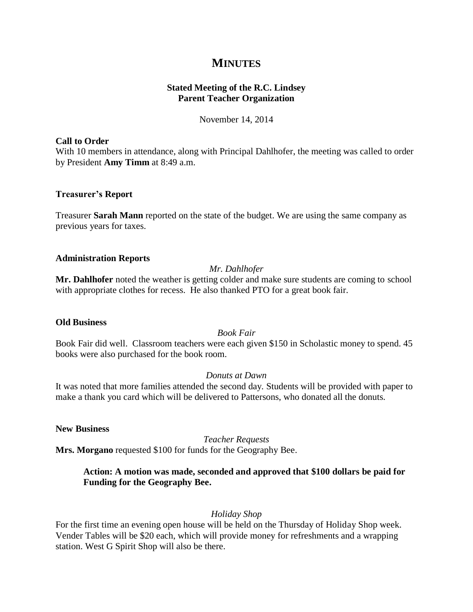# **MINUTES**

## **Stated Meeting of the R.C. Lindsey Parent Teacher Organization**

November 14, 2014

#### **Call to Order**

With 10 members in attendance, along with Principal Dahlhofer, the meeting was called to order by President **Amy Timm** at 8:49 a.m.

#### **Treasurer's Report**

Treasurer **Sarah Mann** reported on the state of the budget. We are using the same company as previous years for taxes.

#### **Administration Reports**

### *Mr. Dahlhofer*

**Mr. Dahlhofer** noted the weather is getting colder and make sure students are coming to school with appropriate clothes for recess. He also thanked PTO for a great book fair.

#### **Old Business**

### *Book Fair*

Book Fair did well. Classroom teachers were each given \$150 in Scholastic money to spend. 45 books were also purchased for the book room.

### *Donuts at Dawn*

It was noted that more families attended the second day. Students will be provided with paper to make a thank you card which will be delivered to Pattersons, who donated all the donuts.

#### **New Business**

*Teacher Requests*

**Mrs. Morgano** requested \$100 for funds for the Geography Bee.

## **Action: A motion was made, seconded and approved that \$100 dollars be paid for Funding for the Geography Bee.**

## *Holiday Shop*

For the first time an evening open house will be held on the Thursday of Holiday Shop week. Vender Tables will be \$20 each, which will provide money for refreshments and a wrapping station. West G Spirit Shop will also be there.